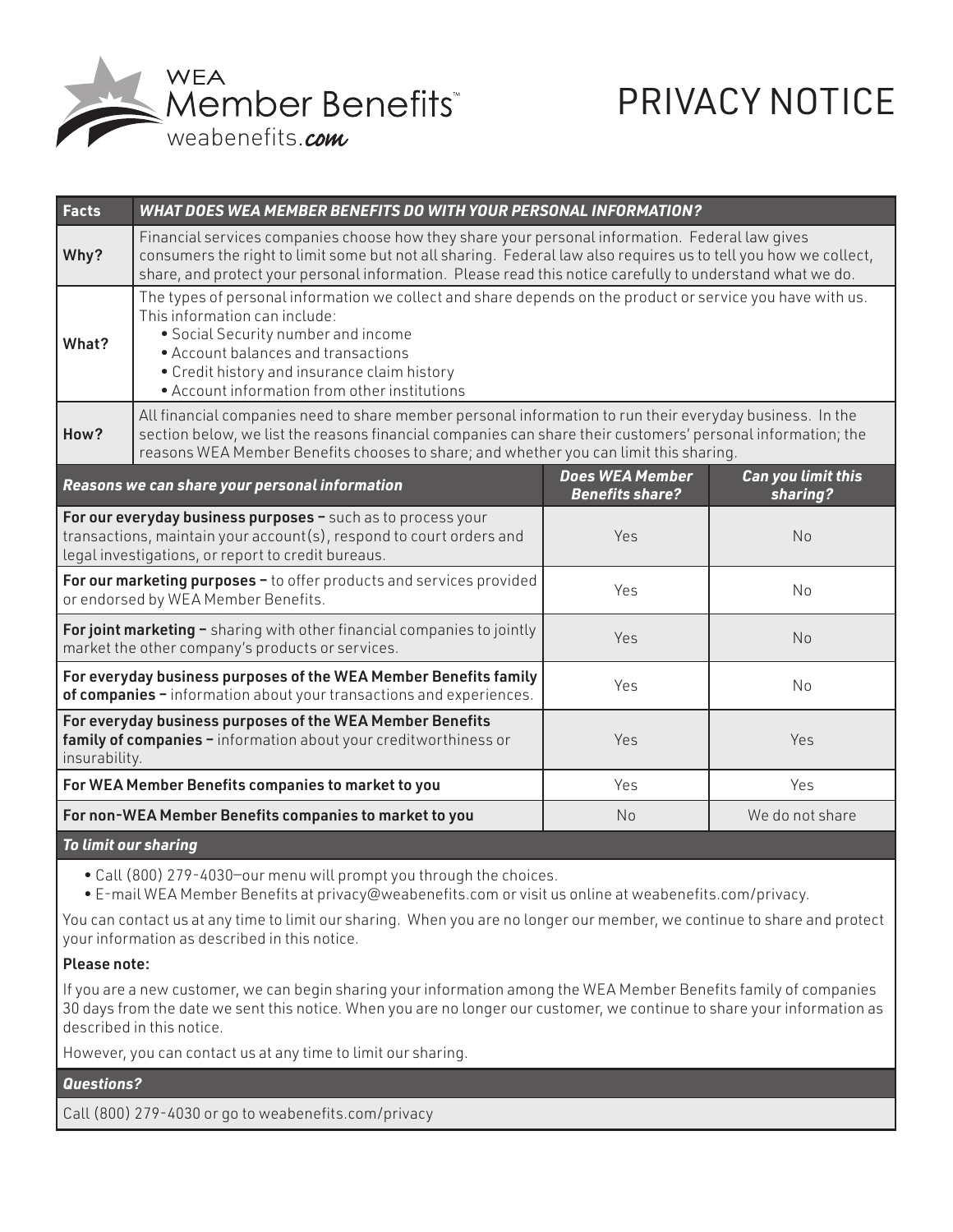

## PRIVACY NOTICE

| <b>Facts</b>         | <b>WHAT DOES WEA MEMBER BENEFITS DO WITH YOUR PERSONAL INFORMATION?</b>                                                                                                                                                                                                                                                         |                                                  |                                       |
|----------------------|---------------------------------------------------------------------------------------------------------------------------------------------------------------------------------------------------------------------------------------------------------------------------------------------------------------------------------|--------------------------------------------------|---------------------------------------|
| Why?                 | Financial services companies choose how they share your personal information. Federal law gives<br>consumers the right to limit some but not all sharing. Federal law also requires us to tell you how we collect,<br>share, and protect your personal information. Please read this notice carefully to understand what we do. |                                                  |                                       |
| What?                | The types of personal information we collect and share depends on the product or service you have with us.<br>This information can include:<br>• Social Security number and income<br>• Account balances and transactions<br>• Credit history and insurance claim history<br>• Account information from other institutions      |                                                  |                                       |
| How?                 | All financial companies need to share member personal information to run their everyday business. In the<br>section below, we list the reasons financial companies can share their customers' personal information; the<br>reasons WEA Member Benefits chooses to share; and whether you can limit this sharing.                |                                                  |                                       |
|                      | Reasons we can share your personal information                                                                                                                                                                                                                                                                                  | <b>Does WEA Member</b><br><b>Benefits share?</b> | <b>Can you limit this</b><br>sharing? |
|                      | For our everyday business purposes - such as to process your<br>transactions, maintain your account(s), respond to court orders and<br>legal investigations, or report to credit bureaus.                                                                                                                                       | Yes                                              | No                                    |
|                      | For our marketing purposes - to offer products and services provided<br>or endorsed by WEA Member Benefits.                                                                                                                                                                                                                     | Yes                                              | No                                    |
|                      | For joint marketing - sharing with other financial companies to jointly<br>market the other company's products or services.                                                                                                                                                                                                     | Yes                                              | No                                    |
|                      | For everyday business purposes of the WEA Member Benefits family<br>of companies - information about your transactions and experiences.                                                                                                                                                                                         | Yes                                              | No                                    |
| insurability.        | For everyday business purposes of the WEA Member Benefits<br>family of companies - information about your creditworthiness or                                                                                                                                                                                                   | Yes                                              | Yes                                   |
|                      | For WEA Member Benefits companies to market to you                                                                                                                                                                                                                                                                              | Yes                                              | Yes                                   |
|                      | For non-WEA Member Benefits companies to market to you                                                                                                                                                                                                                                                                          | <b>No</b>                                        | We do not share                       |
| To limit our charing |                                                                                                                                                                                                                                                                                                                                 |                                                  |                                       |

*To limit our sharing*

• Call (800) 279-4030—our menu will prompt you through the choices.

• E-mail WEA Member Benefits at privacy@weabenefits.com or visit us online at weabenefits.com/privacy.

You can contact us at any time to limit our sharing. When you are no longer our member, we continue to share and protect your information as described in this notice.

## Please note:

If you are a new customer, we can begin sharing your information among the WEA Member Benefits family of companies 30 days from the date we sent this notice. When you are no longer our customer, we continue to share your information as described in this notice.

However, you can contact us at any time to limit our sharing.

*Questions?*

Call (800) 279-4030 or go to weabenefits.com/privacy